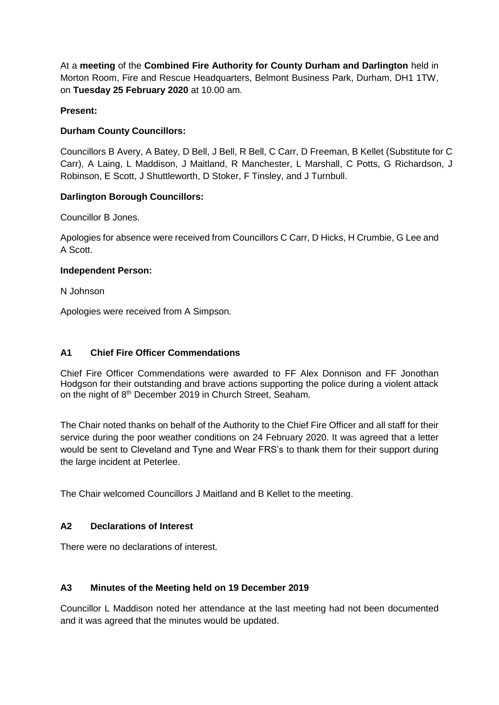At a **meeting** of the **Combined Fire Authority for County Durham and Darlington** held in Morton Room, Fire and Rescue Headquarters, Belmont Business Park, Durham, DH1 1TW, on **Tuesday 25 February 2020** at 10.00 am.

## **Present:**

## **Durham County Councillors:**

Councillors B Avery, A Batey, D Bell, J Bell, R Bell, C Carr, D Freeman, B Kellet (Substitute for C Carr), A Laing, L Maddison, J Maitland, R Manchester, L Marshall, C Potts, G Richardson, J Robinson, E Scott, J Shuttleworth, D Stoker, F Tinsley, and J Turnbull.

## **Darlington Borough Councillors:**

Councillor B Jones.

Apologies for absence were received from Councillors C Carr, D Hicks, H Crumbie, G Lee and A Scott.

#### **Independent Person:**

N Johnson

Apologies were received from A Simpson.

## **A1 Chief Fire Officer Commendations**

Chief Fire Officer Commendations were awarded to FF Alex Donnison and FF Jonothan Hodgson for their outstanding and brave actions supporting the police during a violent attack on the night of 8<sup>th</sup> December 2019 in Church Street, Seaham.

The Chair noted thanks on behalf of the Authority to the Chief Fire Officer and all staff for their service during the poor weather conditions on 24 February 2020. It was agreed that a letter would be sent to Cleveland and Tyne and Wear FRS's to thank them for their support during the large incident at Peterlee.

The Chair welcomed Councillors J Maitland and B Kellet to the meeting.

#### **A2 Declarations of Interest**

There were no declarations of interest.

#### **A3 Minutes of the Meeting held on 19 December 2019**

Councillor L Maddison noted her attendance at the last meeting had not been documented and it was agreed that the minutes would be updated.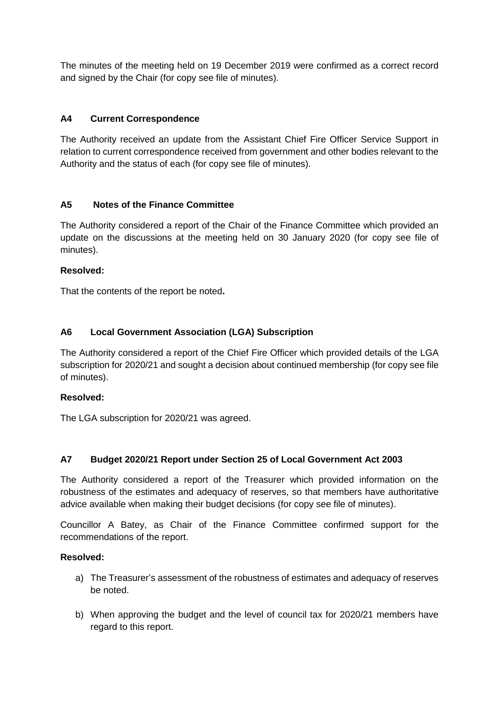The minutes of the meeting held on 19 December 2019 were confirmed as a correct record and signed by the Chair (for copy see file of minutes).

## **A4 Current Correspondence**

The Authority received an update from the Assistant Chief Fire Officer Service Support in relation to current correspondence received from government and other bodies relevant to the Authority and the status of each (for copy see file of minutes).

## **A5 Notes of the Finance Committee**

The Authority considered a report of the Chair of the Finance Committee which provided an update on the discussions at the meeting held on 30 January 2020 (for copy see file of minutes).

## **Resolved:**

That the contents of the report be noted**.**

## **A6 Local Government Association (LGA) Subscription**

The Authority considered a report of the Chief Fire Officer which provided details of the LGA subscription for 2020/21 and sought a decision about continued membership (for copy see file of minutes).

#### **Resolved:**

The LGA subscription for 2020/21 was agreed.

## **A7 Budget 2020/21 Report under Section 25 of Local Government Act 2003**

The Authority considered a report of the Treasurer which provided information on the robustness of the estimates and adequacy of reserves, so that members have authoritative advice available when making their budget decisions (for copy see file of minutes).

Councillor A Batey, as Chair of the Finance Committee confirmed support for the recommendations of the report.

#### **Resolved:**

- a) The Treasurer's assessment of the robustness of estimates and adequacy of reserves be noted.
- b) When approving the budget and the level of council tax for 2020/21 members have regard to this report.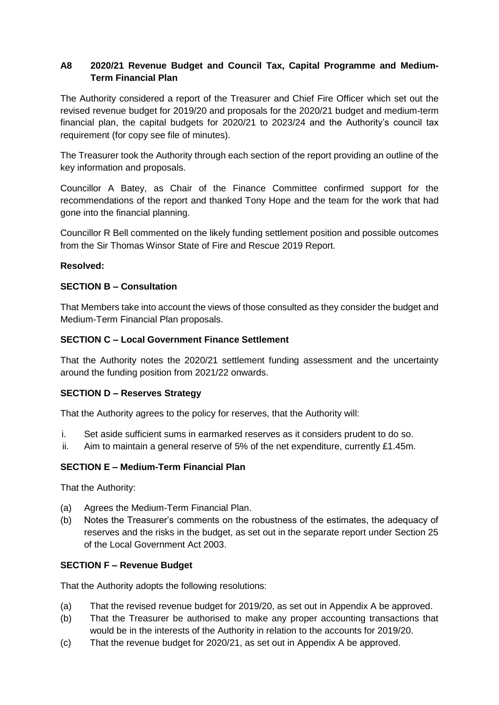# **A8 2020/21 Revenue Budget and Council Tax, Capital Programme and Medium-Term Financial Plan**

The Authority considered a report of the Treasurer and Chief Fire Officer which set out the revised revenue budget for 2019/20 and proposals for the 2020/21 budget and medium-term financial plan, the capital budgets for 2020/21 to 2023/24 and the Authority's council tax requirement (for copy see file of minutes).

The Treasurer took the Authority through each section of the report providing an outline of the key information and proposals.

Councillor A Batey, as Chair of the Finance Committee confirmed support for the recommendations of the report and thanked Tony Hope and the team for the work that had gone into the financial planning.

Councillor R Bell commented on the likely funding settlement position and possible outcomes from the Sir Thomas Winsor State of Fire and Rescue 2019 Report.

#### **Resolved:**

## **SECTION B – Consultation**

That Members take into account the views of those consulted as they consider the budget and Medium-Term Financial Plan proposals.

## **SECTION C – Local Government Finance Settlement**

That the Authority notes the 2020/21 settlement funding assessment and the uncertainty around the funding position from 2021/22 onwards.

#### **SECTION D – Reserves Strategy**

That the Authority agrees to the policy for reserves, that the Authority will:

- i. Set aside sufficient sums in earmarked reserves as it considers prudent to do so.
- ii. Aim to maintain a general reserve of 5% of the net expenditure, currently £1.45m.

#### **SECTION E – Medium-Term Financial Plan**

That the Authority:

- (a) Agrees the Medium-Term Financial Plan.
- (b) Notes the Treasurer's comments on the robustness of the estimates, the adequacy of reserves and the risks in the budget, as set out in the separate report under Section 25 of the Local Government Act 2003.

#### **SECTION F – Revenue Budget**

That the Authority adopts the following resolutions:

- (a) That the revised revenue budget for 2019/20, as set out in Appendix A be approved.
- (b) That the Treasurer be authorised to make any proper accounting transactions that would be in the interests of the Authority in relation to the accounts for 2019/20.
- (c) That the revenue budget for 2020/21, as set out in Appendix A be approved.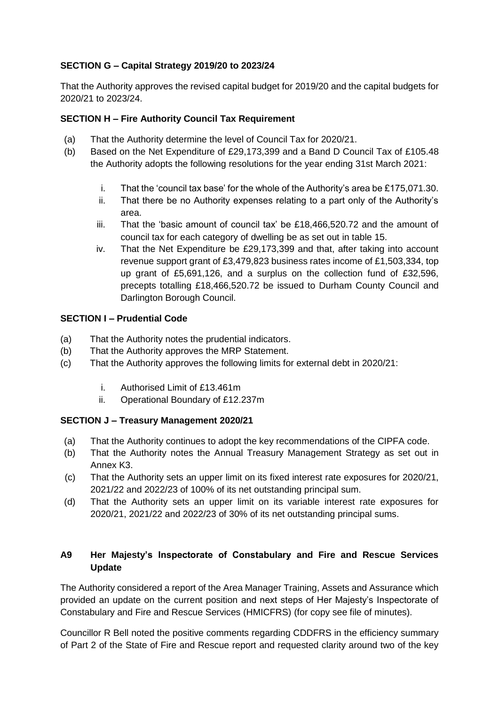# **SECTION G – Capital Strategy 2019/20 to 2023/24**

That the Authority approves the revised capital budget for 2019/20 and the capital budgets for 2020/21 to 2023/24.

# **SECTION H – Fire Authority Council Tax Requirement**

- (a) That the Authority determine the level of Council Tax for 2020/21.
- (b) Based on the Net Expenditure of £29,173,399 and a Band D Council Tax of £105.48 the Authority adopts the following resolutions for the year ending 31st March 2021:
	- i. That the 'council tax base' for the whole of the Authority's area be £175,071.30.
	- ii. That there be no Authority expenses relating to a part only of the Authority's area.
	- iii. That the 'basic amount of council tax' be £18,466,520.72 and the amount of council tax for each category of dwelling be as set out in table 15.
	- iv. That the Net Expenditure be £29,173,399 and that, after taking into account revenue support grant of £3,479,823 business rates income of £1,503,334, top up grant of £5,691,126, and a surplus on the collection fund of £32,596, precepts totalling £18,466,520.72 be issued to Durham County Council and Darlington Borough Council.

## **SECTION I – Prudential Code**

- (a) That the Authority notes the prudential indicators.
- (b) That the Authority approves the MRP Statement.
- (c) That the Authority approves the following limits for external debt in 2020/21:
	- i. Authorised Limit of £13.461m
	- ii. Operational Boundary of £12.237m

## **SECTION J – Treasury Management 2020/21**

- (a) That the Authority continues to adopt the key recommendations of the CIPFA code.
- (b) That the Authority notes the Annual Treasury Management Strategy as set out in Annex K3.
- (c) That the Authority sets an upper limit on its fixed interest rate exposures for 2020/21, 2021/22 and 2022/23 of 100% of its net outstanding principal sum.
- (d) That the Authority sets an upper limit on its variable interest rate exposures for 2020/21, 2021/22 and 2022/23 of 30% of its net outstanding principal sums.

# **A9 Her Majesty's Inspectorate of Constabulary and Fire and Rescue Services Update**

The Authority considered a report of the Area Manager Training, Assets and Assurance which provided an update on the current position and next steps of Her Majesty's Inspectorate of Constabulary and Fire and Rescue Services (HMICFRS) (for copy see file of minutes).

Councillor R Bell noted the positive comments regarding CDDFRS in the efficiency summary of Part 2 of the State of Fire and Rescue report and requested clarity around two of the key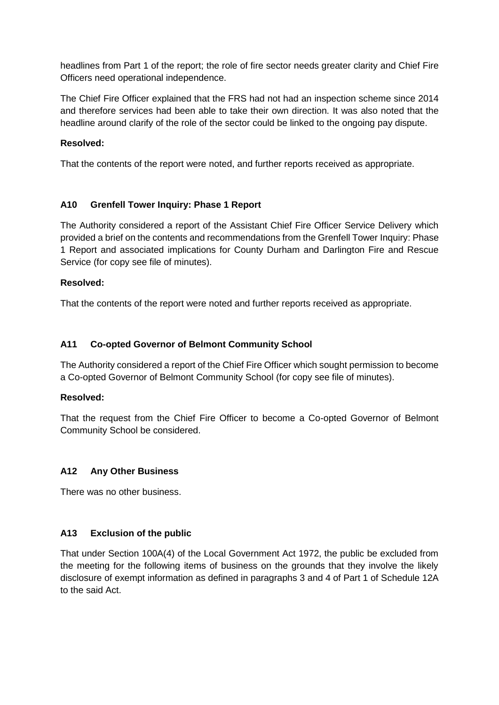headlines from Part 1 of the report; the role of fire sector needs greater clarity and Chief Fire Officers need operational independence.

The Chief Fire Officer explained that the FRS had not had an inspection scheme since 2014 and therefore services had been able to take their own direction. It was also noted that the headline around clarify of the role of the sector could be linked to the ongoing pay dispute.

## **Resolved:**

That the contents of the report were noted, and further reports received as appropriate.

## **A10 Grenfell Tower Inquiry: Phase 1 Report**

The Authority considered a report of the Assistant Chief Fire Officer Service Delivery which provided a brief on the contents and recommendations from the Grenfell Tower Inquiry: Phase 1 Report and associated implications for County Durham and Darlington Fire and Rescue Service (for copy see file of minutes).

## **Resolved:**

That the contents of the report were noted and further reports received as appropriate.

## **A11 Co-opted Governor of Belmont Community School**

The Authority considered a report of the Chief Fire Officer which sought permission to become a Co-opted Governor of Belmont Community School (for copy see file of minutes).

#### **Resolved:**

That the request from the Chief Fire Officer to become a Co-opted Governor of Belmont Community School be considered.

#### **A12 Any Other Business**

There was no other business.

#### **A13 Exclusion of the public**

That under Section 100A(4) of the Local Government Act 1972, the public be excluded from the meeting for the following items of business on the grounds that they involve the likely disclosure of exempt information as defined in paragraphs 3 and 4 of Part 1 of Schedule 12A to the said Act.